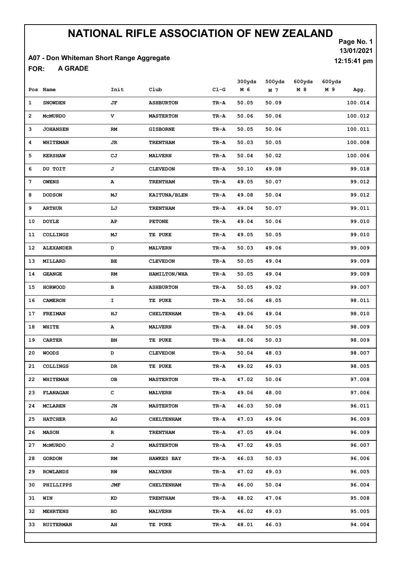#### A07 - Don Whiteman Short Range Aggregate

A GRADE FOR:

Page No. 1 13/01/2021 12:15:41 pm

|    | Pos Name         | Init         | Club              | $C1-G$   | 300yds<br>M 6 | 500yds<br>M 7 | 600yds<br>M 8 | 600yds<br>M 9 | Agg.    |
|----|------------------|--------------|-------------------|----------|---------------|---------------|---------------|---------------|---------|
| 1  | <b>SNOWDEN</b>   | JF           | <b>ASHBURTON</b>  | TR-A     | 50.05         | 50.09         |               |               | 100.014 |
| 2  | <b>MCMURDO</b>   | $\mathbf{V}$ | <b>MASTERTON</b>  | TR-A     | 50.06         | 50.06         |               |               | 100.012 |
| 3  | <b>JOHANSEN</b>  | RM           | <b>GISBORNE</b>   | TR-A     | 50.05         | 50.06         |               |               | 100.011 |
| 4  | WHITEMAN         | JR           | <b>TRENTHAM</b>   | TR-A     | 50.03         | 50.05         |               |               | 100.008 |
| 5  | <b>KERSHAW</b>   | СJ           | <b>MALVERN</b>    | TR-A     | 50.04         | 50.02         |               |               | 100.006 |
| 6  | DU TOIT          | J            | <b>CLEVEDON</b>   | TR-A     | 50.10         | 49.08         |               |               | 99.018  |
| 7  | <b>OWENS</b>     | А            | <b>TRENTHAM</b>   | TR-A     | 49.05         | 50.07         |               |               | 99.012  |
| 8  | <b>DODSON</b>    | МJ           | KAITUNA/BLEN      | TR-A     | 49.08         | 50.04         |               |               | 99.012  |
| 9  | <b>ARTHUR</b>    | LJ           | <b>TRENTHAM</b>   | TR-A     | 49.04         | 50.07         |               |               | 99.011  |
| 10 | <b>DOYLE</b>     | AP           | <b>PETONE</b>     | TR-A     | 49.04         | 50.06         |               |               | 99.010  |
| 11 | <b>COLLINGS</b>  | MJ           | TE PUKE           | TR-A     | 49.05         | 50.05         |               |               | 99.010  |
| 12 | <b>ALEXANDER</b> | D            | <b>MALVERN</b>    | TR-A     | 50.03         | 49.06         |               |               | 99.009  |
| 13 | MILLARD          | BE           | <b>CLEVEDON</b>   | TR-A     | 50.05         | 49.04         |               |               | 99.009  |
| 14 | <b>GEANGE</b>    | RM           | HAMILTON/WHA      | TR-A     | 50.05         | 49.04         |               |               | 99.009  |
| 15 | <b>HORWOOD</b>   | в            | <b>ASHBURTON</b>  | TR-A     | 50.05         | 49.02         |               |               | 99.007  |
| 16 | <b>CAMERON</b>   | I            | TE PUKE           | TR-A     | 50.06         | 48.05         |               |               | 98.011  |
| 17 | <b>FREIMAN</b>   | ΗJ           | <b>CHELTENHAM</b> | TR-A     | 49.06         | 49.04         |               |               | 98.010  |
| 18 | WHITE            | Α            | <b>MALVERN</b>    | TR-A     | 48.04         | 50.05         |               |               | 98.009  |
| 19 | <b>CARTER</b>    | BN           | TE PUKE           | TR-A     | 48.06         | 50.03         |               |               | 98.009  |
| 20 | <b>WOODS</b>     | D            | <b>CLEVEDON</b>   | TR-A     | 50.04         | 48.03         |               |               | 98.007  |
| 21 | COLLINGS         | DR           | TE PUKE           | TR-A     | 49.02         | 49.03         |               |               | 98.005  |
|    | 22 WHITEMAN      | OВ           | <b>MASTERTON</b>  | $TR - A$ | 47.02         | 50.06         |               |               | 97.008  |
| 23 | <b>FLANAGAN</b>  | с            | <b>MALVERN</b>    | TR-A     | 49.06         | 48.00         |               |               | 97.006  |
| 24 | MCLAREN          | JN           | <b>MASTERTON</b>  | TR-A     | 46.03         | 50.08         |               |               | 96.011  |
| 25 | <b>HATCHER</b>   | AG           | <b>CHELTENHAM</b> | TR-A     | 47.03         | 49.06         |               |               | 96.009  |
| 26 | <b>MASON</b>     | R            | <b>TRENTHAM</b>   | TR-A     | 47.05         | 49.04         |               |               | 96.009  |
| 27 | <b>MCMURDO</b>   | J            | <b>MASTERTON</b>  | TR-A     | 47.02         | 49.05         |               |               | 96.007  |
| 28 | <b>GORDON</b>    | RM           | <b>HAWKES BAY</b> | TR-A     | 46.03         | 50.03         |               |               | 96.006  |
| 29 | <b>ROWLANDS</b>  | RW           | <b>MALVERN</b>    | TR-A     | 47.02         | 49.03         |               |               | 96.005  |
| 30 | PHILLIPPS        | JMF          | <b>CHELTENHAM</b> | TR-A     | 46.00         | 50.04         |               |               | 96.004  |
| 31 | WIN              | KD           | <b>TRENTHAM</b>   | TR-A     | 48.02         | 47.06         |               |               | 95.008  |
| 32 | <b>MEHRTENS</b>  | BD           | <b>MALVERN</b>    | TR-A     | 46.02         | 49.03         |               |               | 95.005  |
| 33 | <b>RUITERMAN</b> | AH           | TE PUKE           | TR-A     | 48.01         | 46.03         |               |               | 94.004  |
|    |                  |              |                   |          |               |               |               |               |         |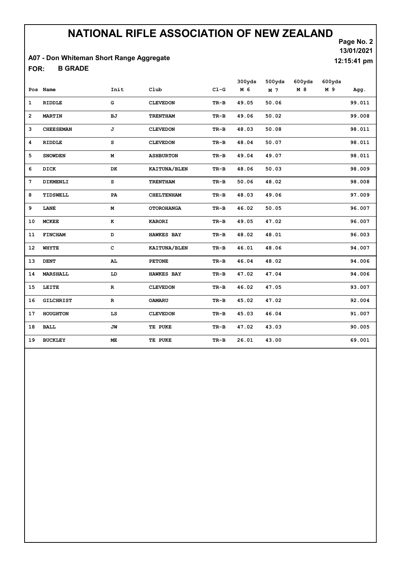#### A07 - Don Whiteman Short Range Aggregate

B GRADE FOR:

| 13/01/2021  |
|-------------|
| 12:15:41 pm |

Page No. 2

|                |                  |              |                   |        | 300yds | 500yds | 600yds | 600yds |        |
|----------------|------------------|--------------|-------------------|--------|--------|--------|--------|--------|--------|
|                | Pos Name         | Init         | Club              | $CL-G$ | M 6    | M 7    | M 8    | M 9    | Agg.   |
| $\mathbf{1}$   | <b>RIDDLE</b>    | G            | <b>CLEVEDON</b>   | TR-B   | 49.05  | 50.06  |        |        | 99.011 |
| $\overline{2}$ | <b>MARTIN</b>    | BJ           | <b>TRENTHAM</b>   | TR-B   | 49.06  | 50.02  |        |        | 99.008 |
| 3              | <b>CHEESEMAN</b> | J            | <b>CLEVEDON</b>   | $TR-B$ | 48.03  | 50.08  |        |        | 98.011 |
| 4              | <b>RIDDLE</b>    | s            | <b>CLEVEDON</b>   | $TR-B$ | 48.04  | 50.07  |        |        | 98.011 |
| 5              | <b>SNOWDEN</b>   | м            | <b>ASHBURTON</b>  | TR-B   | 49.04  | 49.07  |        |        | 98.011 |
| 6              | <b>DICK</b>      | DK           | KAITUNA/BLEN      | TR-B   | 48.06  | 50.03  |        |        | 98.009 |
| 7              | DIKMENLI         | s            | <b>TRENTHAM</b>   | $TR-B$ | 50.06  | 48.02  |        |        | 98.008 |
| 8              | TIDSWELL         | PA           | <b>CHELTENHAM</b> | $TR-B$ | 48.03  | 49.06  |        |        | 97.009 |
| 9              | LANE             | М            | <b>OTOROHANGA</b> | $TR-B$ | 46.02  | 50.05  |        |        | 96.007 |
| 10             | <b>MCKEE</b>     | $\bf K$      | <b>KARORI</b>     | TR-B   | 49.05  | 47.02  |        |        | 96.007 |
| 11             | <b>FINCHAM</b>   | D            | <b>HAWKES BAY</b> | $TR-B$ | 48.02  | 48.01  |        |        | 96.003 |
| 12             | WHYTE            | $\mathbf{C}$ | KAITUNA/BLEN      | TR-B   | 46.01  | 48.06  |        |        | 94.007 |
| 13             | <b>DENT</b>      | AL.          | <b>PETONE</b>     | TR-B   | 46.04  | 48.02  |        |        | 94.006 |
| 14             | <b>MARSHALL</b>  | LD           | <b>HAWKES BAY</b> | TR-B   | 47.02  | 47.04  |        |        | 94.006 |
| 15             | LEITE            | R            | <b>CLEVEDON</b>   | $TR-B$ | 46.02  | 47.05  |        |        | 93.007 |
| 16             | <b>GILCHRIST</b> | $\mathbf R$  | <b>OAMARU</b>     | TR-B   | 45.02  | 47.02  |        |        | 92.004 |
| 17             | HOUGHTON         | LS           | <b>CLEVEDON</b>   | TR-B   | 45.03  | 46.04  |        |        | 91.007 |
| 18             | <b>BALL</b>      | JW           | TE PUKE           | $TR-B$ | 47.02  | 43.03  |        |        | 90.005 |
| 19             | <b>BUCKLEY</b>   | <b>ME</b>    | TE PUKE           | $TR-B$ | 26.01  | 43.00  |        |        | 69.001 |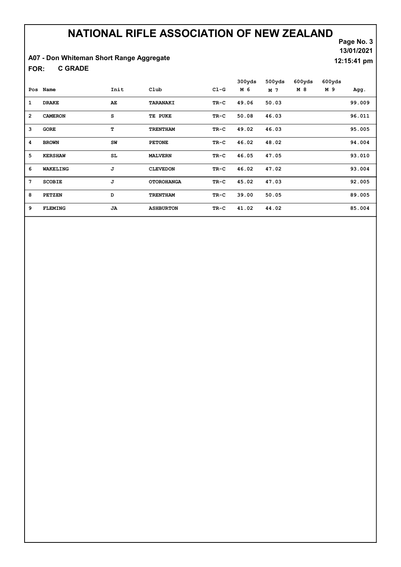### A07 - Don Whiteman Short Range Aggregate

C GRADE FOR:

| 13/01/2021            |  |
|-----------------------|--|
| $12:15:41 \text{ pm}$ |  |
|                       |  |

Page No. 3

|                |                |           |                   |        | 300yds | 500yds | 600yds | 600yds |        |
|----------------|----------------|-----------|-------------------|--------|--------|--------|--------|--------|--------|
| Pos            | Name           | Init      | Club              | $CL-G$ | M 6    | M 7    | M 8    | M 9    | Agg.   |
| 1              | <b>DRAKE</b>   | AE.       | TARANAKI          | TR-C   | 49.06  | 50.03  |        |        | 99.009 |
| $\overline{2}$ | <b>CAMERON</b> | s         | TE PUKE           | TR-C   | 50.08  | 46.03  |        |        | 96.011 |
| 3              | <b>GORE</b>    | т         | <b>TRENTHAM</b>   | TR-C   | 49.02  | 46.03  |        |        | 95.005 |
| 4              | <b>BROWN</b>   | SW        | <b>PETONE</b>     | TR-C   | 46.02  | 48.02  |        |        | 94.004 |
| 5              | <b>KERSHAW</b> | SL.       | <b>MALVERN</b>    | TR-C   | 46.05  | 47.05  |        |        | 93.010 |
| 6              | WAKELING       | J         | <b>CLEVEDON</b>   | TR-C   | 46.02  | 47.02  |        |        | 93.004 |
| 7              | <b>SCOBIE</b>  | J         | <b>OTOROHANGA</b> | TR-C   | 45.02  | 47.03  |        |        | 92.005 |
| 8              | <b>PETZEN</b>  | D         | <b>TRENTHAM</b>   | TR-C   | 39.00  | 50.05  |        |        | 89.005 |
| 9              | <b>FLEMING</b> | <b>JA</b> | <b>ASHBURTON</b>  | TR-C   | 41.02  | 44.02  |        |        | 85.004 |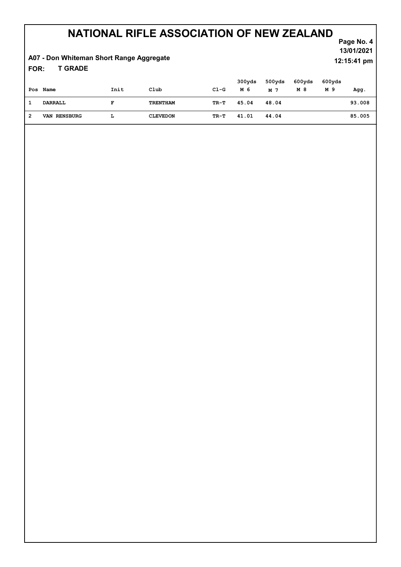### A07 - Don Whiteman Short Range Aggregate

T GRADE FOR:

|   | Pos Name            | Init | Club            | $CL-G$ | 300yds<br>M 6 | 500yds<br>M 7 | 600yds<br>M 8 | 600yds<br>M 9 | Agg.   |
|---|---------------------|------|-----------------|--------|---------------|---------------|---------------|---------------|--------|
|   | DARRALL             | F    | TRENTHAM        | TR-T   | 45.04         | 48.04         |               |               | 93.008 |
| 2 | <b>VAN RENSBURG</b> | L    | <b>CLEVEDON</b> | TR-T   | 41.01         | 44.04         |               |               | 85.005 |

Page No. 4 13/01/2021 12:15:41 pm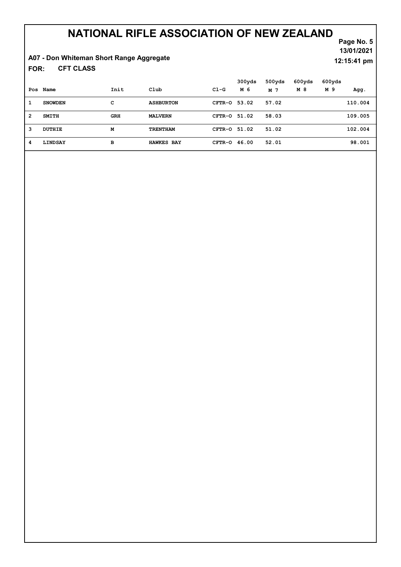### A07 - Don Whiteman Short Range Aggregate

CFT CLASS FOR:

Page No. 5 13/01/2021 12:15:41 pm

|                |                |            |                   |              | 300yds | 500yds | 600yds | 600yds |         |
|----------------|----------------|------------|-------------------|--------------|--------|--------|--------|--------|---------|
|                | Pos Name       | Init       | Club              | $C1-G$       | M 6    | M 7    | M 8    | M 9    | Agg.    |
| 1              | <b>SNOWDEN</b> | с          | <b>ASHBURTON</b>  | CFTR-0 53.02 |        | 57.02  |        |        | 110.004 |
| $\overline{2}$ | <b>SMITH</b>   | <b>GRH</b> | <b>MALVERN</b>    | CFTR-0 51.02 |        | 58.03  |        |        | 109.005 |
| 3              | DUTHIE         | М          | <b>TRENTHAM</b>   | CFTR-0 51.02 |        | 51.02  |        |        | 102.004 |
| 4              | LINDSAY        | в          | <b>HAWKES BAY</b> | CFTR-0 46.00 |        | 52.01  |        |        | 98.001  |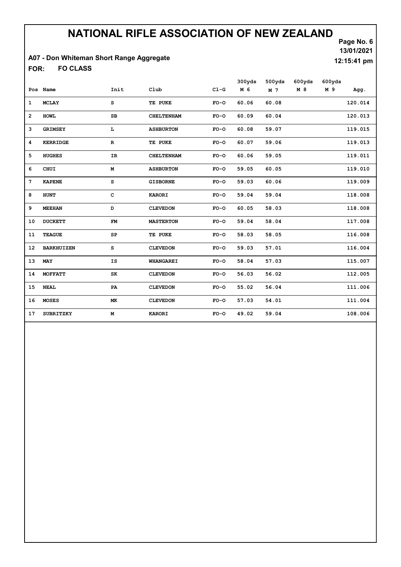#### A07 - Don Whiteman Short Range Aggregate

FO CLASS FOR:

|                 |                   |             |                   |        | 300yds | 500yds | 600yds | 600yds |         |
|-----------------|-------------------|-------------|-------------------|--------|--------|--------|--------|--------|---------|
|                 | Pos Name          | Init        | Club              | $CL-G$ | M 6    | M 7    | M 8    | M 9    | Agg.    |
| 1               | <b>MCLAY</b>      | s           | TE PUKE           | $FO-O$ | 60.06  | 60.08  |        |        | 120.014 |
| $\overline{2}$  | <b>HOWL</b>       | SB          | <b>CHELTENHAM</b> | $FO-O$ | 60.09  | 60.04  |        |        | 120.013 |
| 3               | <b>GRIMSEY</b>    | L           | <b>ASHBURTON</b>  | $FO-O$ | 60.08  | 59.07  |        |        | 119.015 |
| 4               | <b>KERRIDGE</b>   | $\mathbf R$ | TE PUKE           | $FO-O$ | 60.07  | 59.06  |        |        | 119.013 |
| 5               | <b>HUGHES</b>     | IR          | <b>CHELTENHAM</b> | $FO-O$ | 60.06  | 59.05  |        |        | 119.011 |
| 6               | <b>CHUI</b>       | М           | <b>ASHBURTON</b>  | $FO-O$ | 59.05  | 60.05  |        |        | 119.010 |
| $7\phantom{.0}$ | <b>KAPENE</b>     | s           | <b>GISBORNE</b>   | $FO-O$ | 59.03  | 60.06  |        |        | 119.009 |
| 8               | <b>HUNT</b>       | c           | <b>KARORI</b>     | $FO-O$ | 59.04  | 59.04  |        |        | 118.008 |
| 9               | <b>MEEHAN</b>     | D           | <b>CLEVEDON</b>   | $FO-O$ | 60.05  | 58.03  |        |        | 118.008 |
| 10              | <b>DUCKETT</b>    | <b>FM</b>   | <b>MASTERTON</b>  | $FO-O$ | 59.04  | 58.04  |        |        | 117.008 |
| 11              | <b>TEAGUE</b>     | SP          | TE PUKE           | $FO-O$ | 58.03  | 58.05  |        |        | 116.008 |
| 12              | <b>BARKHUIZEN</b> | s           | <b>CLEVEDON</b>   | $FO-O$ | 59.03  | 57.01  |        |        | 116.004 |
| 13              | MAY               | IS          | <b>WHANGAREI</b>  | $FO-O$ | 58.04  | 57.03  |        |        | 115.007 |
| 14              | <b>MOFFATT</b>    | SK          | <b>CLEVEDON</b>   | $FO-O$ | 56.03  | 56.02  |        |        | 112.005 |
| 15              | <b>NEAL</b>       | PA          | <b>CLEVEDON</b>   | $FO-O$ | 55.02  | 56.04  |        |        | 111.006 |
| 16              | <b>MOSES</b>      | МK          | <b>CLEVEDON</b>   | $FO-O$ | 57.03  | 54.01  |        |        | 111.004 |
| 17              | <b>SUBRITZKY</b>  | M           | <b>KARORI</b>     | $FO-O$ | 49.02  | 59.04  |        |        | 108.006 |

Page No. 6 13/01/2021

12:15:41 pm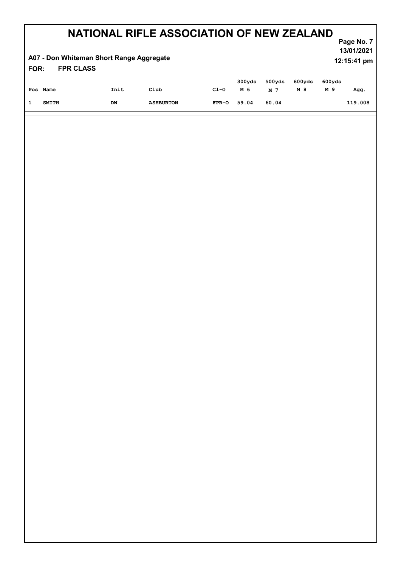#### FPR CLASS Page No. 7 NATIONAL RIFLE ASSOCIATION OF NEW ZEALAND 13/01/2021 A07 - Don Whiteman Short Range Aggregate FOR: 12:15:41 pm

| Pos Name | Init | Club             | $C1-G$      | м 6 | $300yds$ 500 $yds$ 600 $yds$<br>M 7 | M 8 | 600yds<br>M 9 | Agg.    |
|----------|------|------------------|-------------|-----|-------------------------------------|-----|---------------|---------|
| SMITH    | DW   | <b>ASHBURTON</b> | FPR-0 59.04 |     | 60.04                               |     |               | 119.008 |